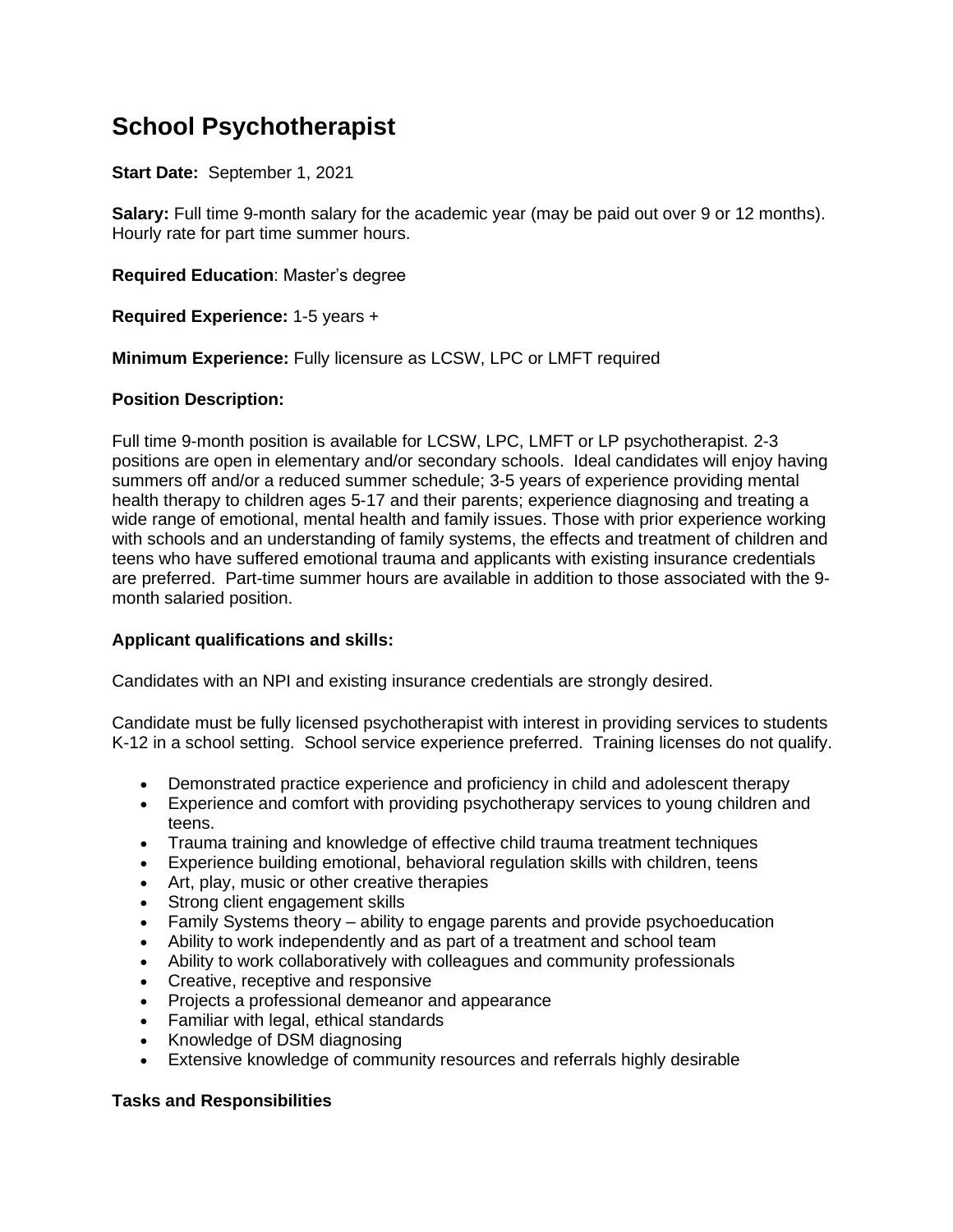## **School Psychotherapist**

**Start Date:** September 1, 2021

**Salary:** Full time 9-month salary for the academic year (may be paid out over 9 or 12 months). Hourly rate for part time summer hours.

**Required Education**: Master's degree

**Required Experience:** 1-5 years +

**Minimum Experience:** Fully licensure as LCSW, LPC or LMFT required

## **Position Description:**

Full time 9-month position is available for LCSW, LPC, LMFT or LP psychotherapist. 2-3 positions are open in elementary and/or secondary schools. Ideal candidates will enjoy having summers off and/or a reduced summer schedule; 3-5 years of experience providing mental health therapy to children ages 5-17 and their parents; experience diagnosing and treating a wide range of emotional, mental health and family issues. Those with prior experience working with schools and an understanding of family systems, the effects and treatment of children and teens who have suffered emotional trauma and applicants with existing insurance credentials are preferred. Part-time summer hours are available in addition to those associated with the 9 month salaried position.

## **Applicant qualifications and skills:**

Candidates with an NPI and existing insurance credentials are strongly desired.

Candidate must be fully licensed psychotherapist with interest in providing services to students K-12 in a school setting. School service experience preferred. Training licenses do not qualify.

- Demonstrated practice experience and proficiency in child and adolescent therapy
- Experience and comfort with providing psychotherapy services to young children and teens.
- Trauma training and knowledge of effective child trauma treatment techniques
- Experience building emotional, behavioral regulation skills with children, teens
- Art, play, music or other creative therapies
- Strong client engagement skills
- Family Systems theory ability to engage parents and provide psychoeducation
- Ability to work independently and as part of a treatment and school team
- Ability to work collaboratively with colleagues and community professionals
- Creative, receptive and responsive
- Projects a professional demeanor and appearance
- Familiar with legal, ethical standards
- Knowledge of DSM diagnosing
- Extensive knowledge of community resources and referrals highly desirable

## **Tasks and Responsibilities**